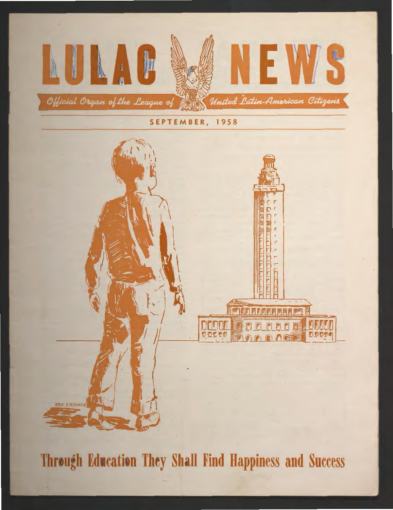

Through Education They Shall Find Happiness and Success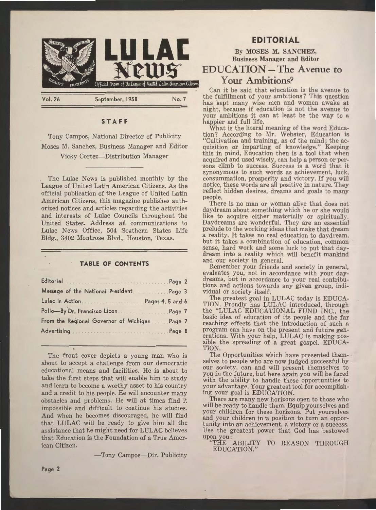

Vol. 26

September, 1958 No. 7

## **ST AF F**

Tony Campos, National Director of Publicity Moses M. Sanchez, Business Manager and Editor Vicky Cortez-Distribution Manager

The Lulac News is published monthly by the League of United Latin American Citizens. As the official publication of the League of United Latin American Citizens, this magazine publishes authorized notices and articles regarding the activities and interests of Lulac Councils throughout the United States. Address all communications to Lulac News Office, 504 Southern States Life Bldg., 3402 Montrose Blvd., Houston, Texas.

#### **TABLE OF CONTENTS**

| Message of the National President Page 3      |  |
|-----------------------------------------------|--|
|                                               |  |
|                                               |  |
| From the Regional Governor of Michigan Page 7 |  |
|                                               |  |

The front cover depicts a young man who is about to accept a challenge from our democratic educational means and facilities. He is about to take the first steps that will enable him to study and learn to become a worthy asset to his country and a credit to his people. He will encounter many obstacles and problems. He will at times find it impossible and difficult to continue his studies. And when he becomes discouraged, he will find that LULAC will be ready to give him all the assistance that he might need for LULAC believes that Education is the Foundation of a True American Citizen.

-Tony Campos-Dir. Publicity

## **EDITORIAL**

By MOSES M. SANCHEZ, Business Manager and Editor

# EDUCATION – The Avenue to Your Ambitions?

Can it be said that education is the avenue to the fulfillment of your ambitions? This question has kept many wise men and women awake at night, because if education is not the avenue to your ambitions it can at least be the way to a happier and full life.

What is the literal meaning of the word Education? According to Mr. Webster, Education is "Cultivation and training, as of the mind; the acquisition or imparting of knowledge." Keeping this in mind, Education then is a tool that when acquired and used wisely, can help a person or persons climb to success. Success is a word that it synonymous to such words as achievement, luck, consummation, prosperity and victory. If you will notice, these words are all positive in nature. They reflect hidden desires, dreams and goals to many people.

There is no man or woman alive that does not daydream about something which he or she would like to acquire either materially or spiritually. Daydreams are wonderful. They are an essential prelude to the working ideas that make that dream a reality. It takes no real education to daydream, but it takes a combination of education, common sense, hard work and some luck to put that daydream into a reality which will benefit mankind and our society in general.

Remember your friends and society in general, evaluates you, not in accordance with your daydreams, but in accordance to your real contributions and actions towards any given group, individual or society itself.

The greatest goal in LULAC today is EDUCA-TION. Proudly has LULAC introduced, through the "LULAC EDUCATIONAL FUND INC., the basic idea of education of its people and the far reaching effects that the introduction of such a program can have on the present and future generations. With your help, LULAC is making possible the spreading of a great gospel. EDUCA-TION.

The Opportunities which have presented themselves to people who are now judged successful by our society, can and will present themselves to you in the future, but here again you will be faced with the ability to handle these opportunities to your advantage. Your greatest tool for accomplishing your goal is EDUCATION.

There are many new horizons open to those who will be ready to handle them. Equip yourselves and your children for these horizons. Put yourselves and your children in a position to turn an opportunity into an achievement, a victory or a success. Use the greatest power that God has bestowed upon you:

"THE ABILITY TO REASON THROUGH EDUCATION."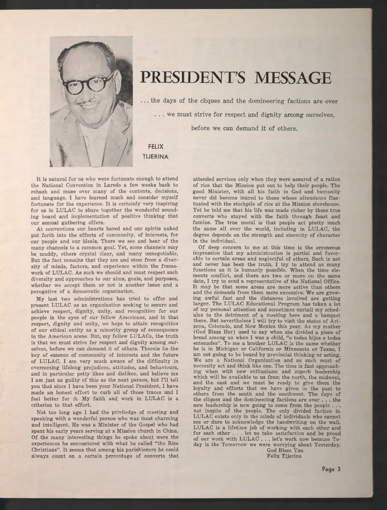

# **PRESIDENT'S MESSAGE**

... the days of the cliques and the domineering factions are over

... we must strive for respect and dignity among ourselves,

before we can demand it of others.

**FELIX TIJERINA** 

It is natural for us who were fortunate enough to attend the National Convention in Laredo a few weeks back to rehash and muse over many of the contents, decisions, and language. I have learned much and consider myself fortunate for the experience. It is certainly very inspiring for us in LULAC to share together the wonderful sounding board and implementation of positive thinking that our annual gathering offers.

At conventions our hearts bared and our spirits naked put forth into the efforts of community, of interests, for our people and our ideals. There we see and hear of the many channels to a common goal. Yet, some channels may be muddy, others crystal clear, and many unnegotiable. But the fact remains that they are and stem from a diversity of minds, factors, and experience within the framework of LULAC. As such we should and must respect such diversity and approaches to our aims, goals, and purposes, whether we accept them or not is another issue and a perogative of a democratic organization.

**My** last two administrations has tried to offer and present LULAC as an organization seeking to secure and achieve respect, dignity, unity, and recognition for our people in the eyes of our fellow Americans, and in that respect, dignity and unity, we hope to attain recognition of our ethical entity as a minority group of consequence in the American scene. But, my fellow LULACs, the truth is that we must strive for respect and dignity among ourselves, before we can demand it of others. Therein lie the key of essence of community of interests and the future of LULAC. I am very much aware of the difficulty in overcoming lifelong prejudices, attitudes, and behaviours, and in particular petty likes and dislikes, and believe me I am just as guilty of this as the next person, but I'll tell you that since I have been your National President, I have made an honest effort to curb all of those traces and I feel better for it. My faith and work in LULAC is a criterion to that effort.

Not too long ago I had the priviledge of meeting and speaking with a wonderful person who was most charming and intelligent. He was a Minister of the Gospel who had spent his early years serving at a Mission church in China. Of the many interesting things he spoke about were the experiences he encountered with what he called "the Rice Christians". It seems that among his parishioners he could always count on a certain percentage of converts that attended services only when they were assured of a ration of rice that the Mission put out to help their people. The good Minister, with all his faith in God and humanity never did become inured to those whose attendance fluctuated with the stockpile of rice at the Mission storehouse. Yet he told me that his life was made richer by those true converts who stayed with the faith through feast and famine. The true moral is that people act pretty much the same all over the world, including in LULAC, the degree depends on the strength and sincerity of character in the individual.

Of deep concern to me at this time is the erroneous impression that my administration is partial and favorable to certain areas and neglectful of others. Such is not and never has been the truth. I try to attend as many functions as it is humanly possible. When the time elements conflict, and there are two or more on the same date, I try to send a representative of the National Office. It may be that some areas are more active than others and the demands from them more excessive. We are growing awful fast and the distances involved are getting larger. The LULAC Educational Program has taken a lot of my personal attention and sometimes curtail my schedules to the detriment of a meeting here and a banquet there. But nevertheless I will try to visit the states of Arizona, Colorado, and New Mexico this year. As my mother (God Bless Her) used to say when she divided a piece of bread among us when I was a child, "o todos hijos o todos entenades". To me a brother LULAC is the same whether he is in Michigan or California or Minnesota or Texas, I am not going to be bound by provincial thinking or acting. We are a National Organization and as such must of necessity act and think like one. The time is fast approaching when with new enthusiasm and superb leadership which will be available to us from the north, the midwest. and the east and we must be ready to give them the loyalty and efforts that we have given in the past to others from the south and the southwest. The days of the cliques and the domineering factions are over ... the new leadership is now going to come from the people ... not inspite of the people. The only divided faction in LULAC exists only in the minds of individuals who cannot see or dare to acknowledge the handwriting on the wall. LULAC is a lifetime job of working with each other and for each other ... let us take satisfaction and be proud of our work with LULAC ... let's work now because Today is the Tomorrow we were worrying about Yesterday.

God Bless You Felix Tijerina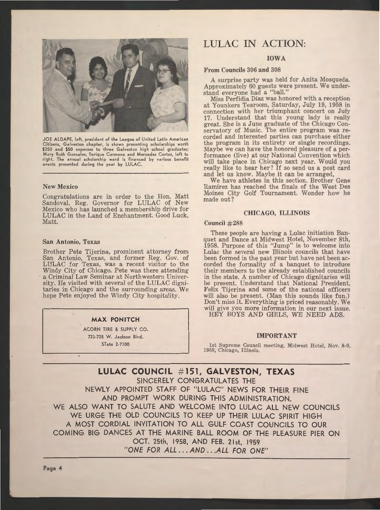

JOE ALDAPE, left, president of the League of United Latin American Citizens, Galveston chapter, is shown presenting scholarships worth \$250 and \$50 expenses to three Galveston high school graduate Mary Ruth Gonzales, Enrique Carmona and Mercedes Cortez, left to right. The annual scholarship ward is financed by various benefit events presented during the year by LULAC.

#### **New Mexico**

Congratulations are in order to the Hon. Matt Sandoval, Reg. Governor for LULAC of New Mexico who has launched a membership drive for LULAC in the Land of Enchantment. Good Luck, Matt.

#### **San Antonio, Texas**

Brother Pete Tijerina, prominent attorney from San Antonio, Texas, and former Reg. Gov. of LULAC for Texas, was a recent visitor to the Windy City of Chicago. Pete was there attending a Criminal Law Seminar at Northwestern University. He visited with several of the LULAC dignitaries in Chicago and the surrounding areas. We hope Pete enjoyed the Windy City hospitality.

#### **MAX PONITCH**

ACORN TIRE & SUPPLY CO. 723-725 W. Jackson Blvd. STate 2-7100

## LULAC IN ACTION.

### **IOWA**

#### **From Councils** 306 **and** 308

A surprise party was held for Anita Mosqueda. Approximately 60 guests were present. We understand everyone had a "ball."

Miss Perfidia Diaz was honored with a reception at Younkers Tearoom, Saturday, July 19, 1958 in connection with her triumphant concert on July 17. Understand that this young lady is really great. She is a June graduate of the Chicago Conservatory of Music. The entire program was recorded and interested parties can purchase either<br>the program in its entirety or single recordings. the program in its entirety or ingle recording . Maybe we can have the honored plea ure of a performance (live) at our National Convention which will take place in Chicago next year. Would you really like to hear her? If so send us a post card and let us know. Maybe it can be arranged,

We have athletes in this section. Brother Gene Ramirez has reached the finals of the West Des Moines City Golf Tournament. Wonder how he made out?

#### **CHICAGO, ILLINOIS**

#### **Council** # 288

These people are having a Lulac initiation Banquet and Dance at Midwest Hotel, November 8th, 1958. Purpose of this "Jump" is to welcome into Lulac the several new Illinois councils that have been formed in the past year but have not been accorded the formality of a banquet to introduce their members to the already established councils in the state. A number of Chicago dignitaries will be present. Understand that National President, Felix Tijerina and some of the national officers will also be present. (Man this sounds like fun.) Don't miss it. Everything is priced reasonably. We will give you more information in our next issue.

HEY BOYS AND GIRLS, WE NEED ADS.

#### **IMPORTANT**

1st Supreme Council meeting, Midwest Hotel, Nov. 8-9, 1958, Chicago, Illinois.

**LULAC COUNCIL #151, GALVESTON, TEXAS**  SINCERELY CONGRATULATES THE NEWLY APPOINTED STAFF OF "LULAC" NEWS FOR THEIR FINE AND PROMPT WORK DURING THIS ADMINISTRATION. WE ALSO WANT TO SALUTE AND WELCOME INTO LULAC ALL NEW COUNCILS WE URGE THE OLD COUNCILS TO KEEP UP THEIR LULAC SPIRIT HIGH A MOST CORDIAL INVITATION TO ALL GULF COAST COUNCILS TO OUR COMING BIG DANCES AT THE MARINE BALL ROOM OF THE PLEASURE PIER ON OCT. 25th, 1958, AND FEB. 21st, 1959 "ONE FOR ALL ... AND ... ALL FOR ONE"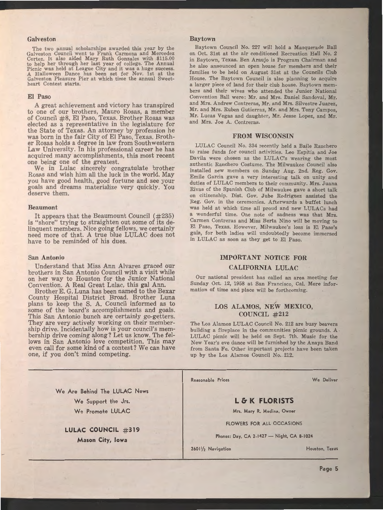#### **Galveston**

The two annual scholarships awarded this year by the Galveston Council went to Frank Carmona and Mercedez Cortez. It also aided Mary Ruth Gonzalez with \$115.00 to help her through her last year of college. The Annual Picnic was held at League City and it was a huge success. A Halloween Dance has been set for Nov. 1st at the Galveston Pleasure Pier at which time the annual Sweetheart Contest starts.

#### El Paso

A great achievement and victory has transpired to one of our brothers, Mauro Rosas, a member of Council #8, El Paso, Texas. Brother Rosas was elected as a representative in the legislature for the State of Texas. An attorney by profession he was born in the fair City of El Paso, Texas. Brother Rosas holds a degree in law from Southwestern Law University. In his professional career he has acquired many accomplishments, this most recent one being one of the greatest.

We in Lulac sincerely congratulate brother Rosas and wish him all the luck in the world. May you have good health, good fortune and see your goals and dreams materialize very quickly. You deserve them.

#### **Beaumont**

It appears that the Beaumount Council  $(\text{\#235})$ is "shore" trying to straighten out some of its delinquent members. Nice going fellows, we certainly need more of that. A true blue LULAC does not have to be reminded of his dues.

#### **San Antonio**

Understand that Miss Ann Alvarez graced our brothers in San Antonio Council with a visit while on her way to Houston for the Junior National Convention. A Real Great Lulac, this gal Ann.

Brother E.G. Luna has been named to the Bexar County Hospital District Broad. Brother Luna plans to keep the S. A. Council informed as to some of the board's accomplishments and goals. This San Antonio bunch are certainly go-getters. They are very actively working on their membership drive. Incidentally how is your council's membership drive coming along? Let us know. The fellows in San Antonio love competition. This may even call for some kind of a contest? We can have one, if you don't mind competing.

#### **Baytown**

Baytown Council No. 227 will hold a Masquerade Ball on Oct. 31st at the air conditioned Recreation Hall No. 2 in Baytown, Texas. Ben Araujo is Program Chairman and he also announced an open house for members and their families to be held on August 31st at the Councils Club House. The Baytown Council is also planning to acquire a larger piece of land for their club house. Baytown members and their wives who attended the Junior National Convention Ball were: Mr. and Mrs. Daniel Sandoval, Mr. and Mrs. Andrew Contreras, Mr. and Mrs. Silvestre Juarez, Mr. and Mrs. Ruben Gutierraz, Mr. and Mrs. Tony Campos, Mr. Lucas Vegas and daughter, Mr. Jesse Lopez, and Mr. and Mrs. Joe A. Contreras.

#### **FROM WISCONSIN**

LULAC Council No. 334 recently held a Baile Ranchero to raise funds for council activities. Leo Espitia and Joe Davila were chosen as the LULAC's wearing the most authentic Ranchero Costume. The Milwaukee Council also installed new members on Sunday Aug. 2nd. Reg. Gov. Emile Garcia gave a very interesting talk on unity and duties of LULAC members to their community. Mrs. Juana Rivas of the Spanish Club of Milwaukee gave a short talk on citizenship. Dist. Gov. Jube Rodriguez assisted the Reg. Gov. in the ceremonies. Afterwards a buffet lunch was held at which time all proud and new LULACs had a wonderful time. One note of sadness was that Mrs. Carmen Contreras and Miss Berta Nino will be moving to El Paso, Texas. However, Milwaukee's loss is El Paso's gain, for both ladies will undoubtedly become immersed in LULAC as soon as they get to El Paso.

#### **IMPORTANT NOTICE FOR**

#### **CALIFORNIA LULAC**

Our national president has called an area meeting for Sunday Oct. 12, 1958 at San Francisco, Cal. More information of time and place will be forthcoming.

## LOS ALAMOS, NEW MEXICO, **COUNCIL #212**

The Los Alamos LULAC Council No. 212 are busy beavers building a fireplace in the communities picnic grounds. A LULAC picnic will be held on Sept. 7th. Music for the New Year's eve dance will be furnished by the Anaya Band from Santa Fe. Other important projects have been taken up by the Los Alamos Council No. 212.

We Are Behind The LULAC News We Support the Jrs.

We Promote LULAC

**LULAC COUNCIL #319 Mason City, Iowa** 

Reasonable Prices We Deliver

#### **L & K FLORISTS**

Mrs. Mary R. Medina, Owner

FLOWERS FOR ALL OCCASIONS

Phones: Day, CA 2-1427 - Night, CA 8-1024

26011/2 Navigation Houston, Texas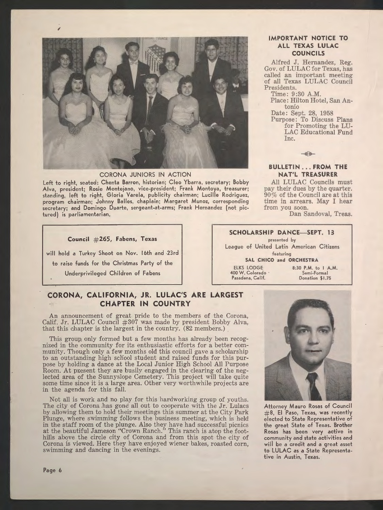

#### CORONA JUNIORS IN ACTION

Left to right, seated: Chenta Barron, historian; Cleo Ybarra, secretary; Bobby Alva, president; Rosie Montejano, vice-president; Frank Montoya, treasurer; standing, left to right, Gloria Varela, publicity chairman; Lucille Rodriguez, program chairman; Johnny Balles, chaplain; Margaret Munoz, corresponding secretary; and Domingo Duarte, sergeant-at-arms; Frank Hernandez (not pictured) is parliamentarian.

#### **Council #265, Fabens, Texas and Secure 2018** presented by

will hold a Turkey Shoot on Nov. 16th and 23rd

to raise funds for the Christmas Party of the

Underprivileged Children of Fabens

## **CORONA, CALIFORNIA, JR. LULAC'S ARE LARGEST CHAPTER IN COUNTRY**

An announcement of great pride to the members of the Corona, Calif. Jr. LULAC Council #307 was made by president Bobby Alva, that this chapter is the largest in the country. (82 members.)

This group. only formed but a few months has already been recognized in the community for its enthusiastic efforts for a better community. Though only a few months old this council gave a scholarship to an outstanding high scliool student and raised funds for this purpose by holding a dance at the Local Junior High School All Purpose Room. At present they are busily engaged in the clearing of the neglected area of the Sunnyslope Cemetery. This project will take quite some time since it is a large area. Other very worthwhile projects are in the agenda for this fall.

Not all is work and no play for this hardworking group of youths. The city of Corona .has gone all out to cooperate with the Jr. Lulacs by allowing them to hold their meetings this summer at the City Park Plunge, where swimming follows the business meeting, which is held in the staff room of the plunge. Also they have had successful picnics at the beautiful Jameson "Crown Ranch." This ranch is atop the foothills above the circle city of Corona and from this spot the city of Corona is viewed. Here they have enjoyed wiener bakes, roasted corn, swimming and dancing in the evenings.

#### **IMPORTANT NOTICE TO ALL TEXAS LULAC COUNCILS**

Alfred J. Hernandez, Reg. Gov. of LULAC for Texas, has called an important meeting of all Texas LULAC Council Presidents. Time: 9 :30 A.M. Place: Hilton Hotel, San Antonio Date: Sept. 28, 1958

Purpose: To Discuss Plans for Promoting the LU-LAC Educational Fund Inc.

 $-40$ 

#### **BULLETIN ... FROM THE NAT'L TREASURER**

All LULAC Councils must pay their dues by the quarter.  $90\%$  of the Council are at this time in arrears. May I hear from you soon.

Dan Sandoval, Treas.

## **SCHOLARSHIP DANCE-SEPT. 13**

League of United Latin American Citizens featuring

**SAL CHICO and ORCHESTRA** 

400 W. Colorado

ELKS LODGE 8:30 P.M. to I A.M.<br>00 W. Colorado Semi-Formal Pasadena, Calif. Donation \$1.75



**Attorney Mauro Rosas of Council #8, El Paso, Texas, was recently elected to State Representative of the great State of Texas. Brother Rosas has** been **very active in community and state activities and will be a credit and a great asset to LULAC as a State Representative** in **Austin, Texas.**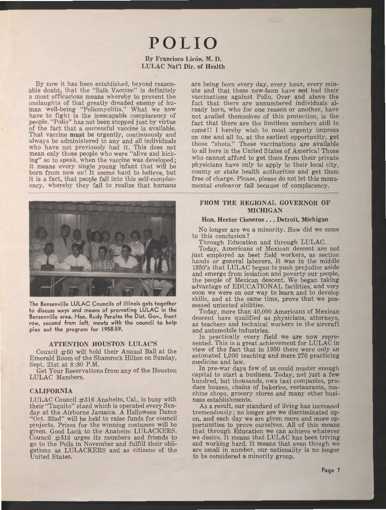# **POLIO By Francisco Licon, M. D. LULAC Nat'l Dir. of Health**

By now it has been established, beyond reasonable doubt, that the "Salk Vaccine" is definitely a most efficacious means whereby to prevent the onslaughts of that greatly dreaded enemy of human well-being "Poliomyelitis." What we now have to fight is the inescapable complacency of people. "Polio" has not been stopped just by virtue of the fact that a successful vaccine is available. That vaccine **must** be urgently, continuously and always be administered to any and all individuals who have not previously had it. This does not mean only those people who were "alive and kicking" so to speak, when the vaccine was developed; it means every single young infant that will be born from now on! It seems hard to believe, but it is a fact, that people fall into this self-complacncy, whereby they fail to realize that humans



**The Bensenville LULAC Councils of Illinois gets together to discuss ways and means of promoting LULAC in the Bensenville area. Hon. Rudy Perales the Dist. Gov., front row, second from left, meets with the council to help plan out the program for 1958-59.** 

#### **ATTENTION HOUSTON LULAC'S**

Council #60 will hold their Annual Ball at the Emerald Room of the Shamrock Hilton on Sunday, Sept. 21st at 8 :30 P.M.

Get Your Reservations from any of the Houston LULAC Members.

#### **CALIFORNIA**

LULAC Council #316 Anaheim, Cal., is busy with their "Taquito" stand which is operated every Sunday at the Airborne Jamaica. A Halloween Dance "Oct. 32nd" will be held to raise funds for council projects. Prizes for the winning costumes will be given. Good Luck to the Anaheim LULACKERS. Council #316 urges its members and friends to go to the Polls in November and fulfill their obligations as LULACKERS and as citizens of the United States.

are being born every day, every hour, every minute and that these new-born have **not** had their vaccinations against Polio. Over and above the fact that there are unnumbered individuals already born, who for one reason or another, have not availed themselves of this protection, is the fact that there are the limitless numbers still to come!! I hereby wish to most urgenty impress on one and all to, at the earliest opportunity, get those "shots." These vaccinations are available to all here in the United States of America! Those who cannot afford to get them from their private physicians have only to apply to their local city, county or state health authorities and get them free of charge. Please, please do not let this monumental endeavor fall because of complacency.

#### **FROM THE REGIONAL GOVERNOR OF MICHIGAN**

#### **Hon. Hector Cisneros ... Detroit, Michigan**

No longer are we a minority. How did we come to this conclusion?

Through Education and through LULAC.

Today, Americans of Mexican descent are not just employed as beet field workers, as section hands or general laborers. It was in the middle 1930's that LULAC began to push prejudice aside and emerge from isolation and poverty our people, the people of Mexican descent. We began taking advantage of EDUCATIONAL facilities, and very soon we were on our way to learn and to develop skills, and at the same time, prove that we possessed untested abilities.

Today, more than 40,000 Americans of Mexican descent have qualified as physicians, attorneys, as teachers and technical workers in the aircraft and automobile industries.

In practically every field we are now repre sented. This is a great achievement for LULAC in view of the fact that in 1930 there were only an estimated 1,000 teaching and mere 270 practicing medicine and law.

In pre-war days few of us could muster enough capital to start a business. Today, not just a few hundred, but thousands, own taxi companies, produce houses, chains of bakeries, restaurants, machine shops, grocery stores and many other business establishments.

As a result, our standard of living has increased tremendously; no longer are we discriminated upon, and each day we are given more and more opportunities to prove ourselves. All of this means that through Education we can achieve whatever we desire. It means that LULAC has been triving and working hard. It means that even though we are small in number, our nationality is no longer to be considered a minority group.